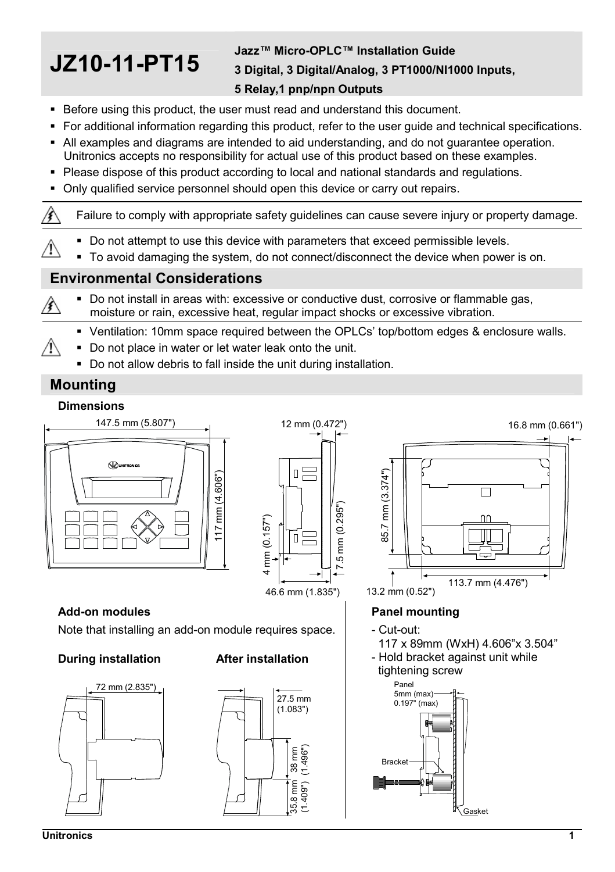# **JZ10-11-PT15**

### **Jazz™ Micro-OPLC™ Installation Guide 3 Digital, 3 Digital/Analog, 3 PT1000/NI1000 Inputs,**

### **5 Relay,1 pnp/npn Outputs**

- Before using this product, the user must read and understand this document.
- For additional information regarding this product, refer to the user guide and technical specifications.
- All examples and diagrams are intended to aid understanding, and do not guarantee operation. Unitronics accepts no responsibility for actual use of this product based on these examples.
- Please dispose of this product according to local and national standards and regulations.
- Only qualified service personnel should open this device or carry out repairs.

∕€∖ Failure to comply with appropriate safety guidelines can cause severe injury or property damage.

- Do not attempt to use this device with parameters that exceed permissible levels.
- To avoid damaging the system, do not connect/disconnect the device when power is on.

#### **Environmental Considerations**

- Do not install in areas with: excessive or conductive dust, corrosive or flammable gas, 凃 moisture or rain, excessive heat, regular impact shocks or excessive vibration.
	- Ventilation: 10mm space required between the OPLCs' top/bottom edges & enclosure walls.
	- Do not place in water or let water leak onto the unit.
		- Do not allow debris to fall inside the unit during installation.

### **Mounting**

Â

Л

#### **Dimensions**





# **Add-on modules**

Note that installing an add-on module requires space.

#### **During installation After installation**







#### **Panel mounting**

- Cut-out:
- 117 x 89mm (WxH) 4.606"x 3.504"
- Hold bracket against unit while tightening screw

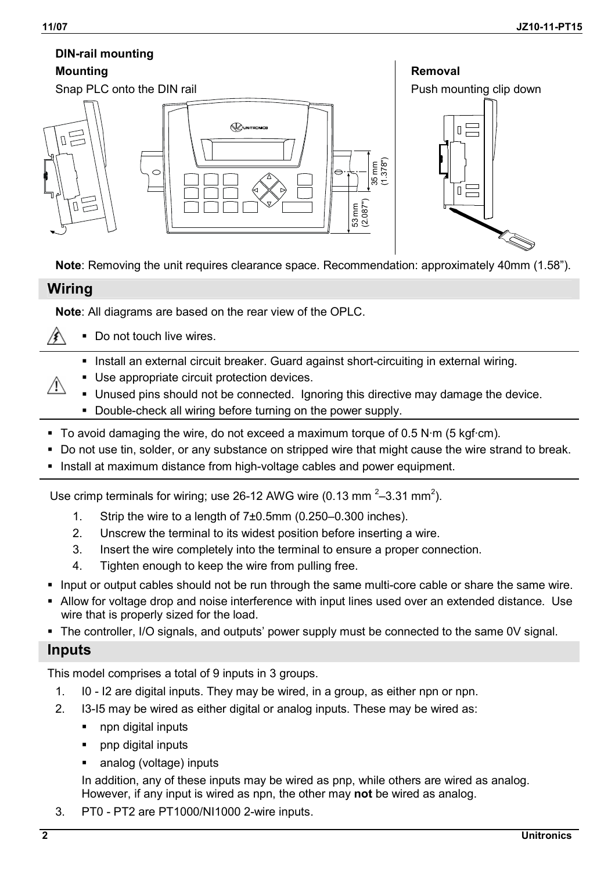# **DIN-rail mounting**



#### **Wiring**

**Note**: All diagrams are based on the rear view of the OPLC.

- Do not touch live wires.
	- Install an external circuit breaker. Guard against short-circuiting in external wiring.
	- Use appropriate circuit protection devices.
		- Unused pins should not be connected. Ignoring this directive may damage the device.
		- Double-check all wiring before turning on the power supply.
- To avoid damaging the wire, do not exceed a maximum torque of  $0.5$  N $\cdot$ m (5 kgf $\cdot$ cm).
- Do not use tin, solder, or any substance on stripped wire that might cause the wire strand to break.
- Install at maximum distance from high-voltage cables and power equipment.

Use crimp terminals for wiring; use 26-12 AWG wire (0.13 mm<sup>2</sup>-3.31 mm<sup>2</sup>).

- 1. Strip the wire to a length of 7±0.5mm (0.250–0.300 inches).
- 2. Unscrew the terminal to its widest position before inserting a wire.
- 3. Insert the wire completely into the terminal to ensure a proper connection.
- 4. Tighten enough to keep the wire from pulling free.
- Input or output cables should not be run through the same multi-core cable or share the same wire.
- Allow for voltage drop and noise interference with input lines used over an extended distance. Use wire that is properly sized for the load.
- The controller, I/O signals, and outputs' power supply must be connected to the same 0V signal.

#### **Inputs**

This model comprises a total of 9 inputs in 3 groups.

- 1. I0 I2 are digital inputs. They may be wired, in a group, as either npn or npn.
- 2. I3-I5 may be wired as either digital or analog inputs. These may be wired as:
	- npn digital inputs
	- pnp digital inputs
	- analog (voltage) inputs

In addition, any of these inputs may be wired as pnp, while others are wired as analog. However, if any input is wired as npn, the other may **not** be wired as analog.

3. PT0 - PT2 are PT1000/NI1000 2-wire inputs.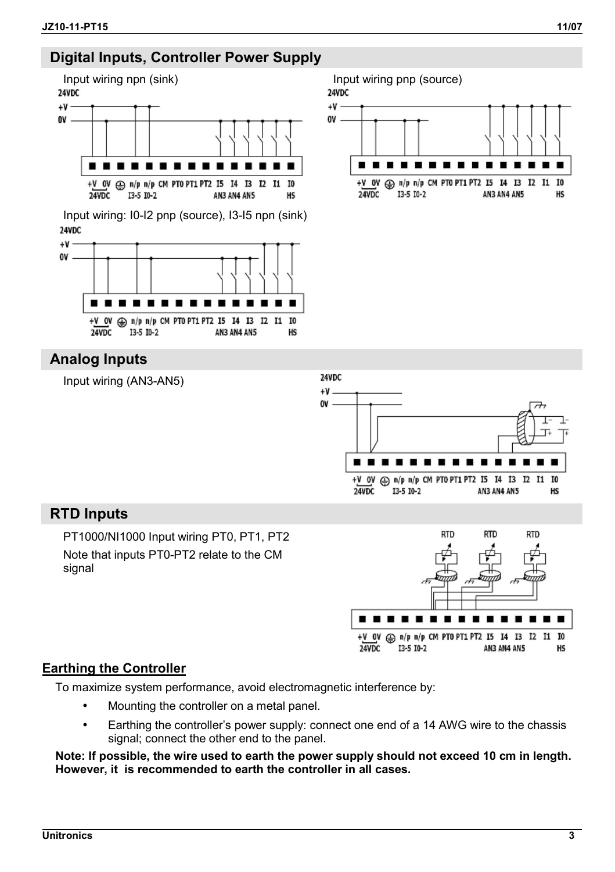## **Digital Inputs, Controller Power Supply**



Input wiring: I0-I2 pnp (source), I3-I5 npn (sink) 24VDC





# **Analog Inputs**



## **RTD Inputs**

PT1000/NI1000 Input wiring PT0, PT1, PT2 Note that inputs PT0-PT2 relate to the CM signal



#### **Earthing the Controller**

To maximize system performance, avoid electromagnetic interference by:

- Mounting the controller on a metal panel.
- Earthing the controller's power supply: connect one end of a 14 AWG wire to the chassis signal; connect the other end to the panel.

**Note: If possible, the wire used to earth the power supply should not exceed 10 cm in length. However, it is recommended to earth the controller in all cases.**